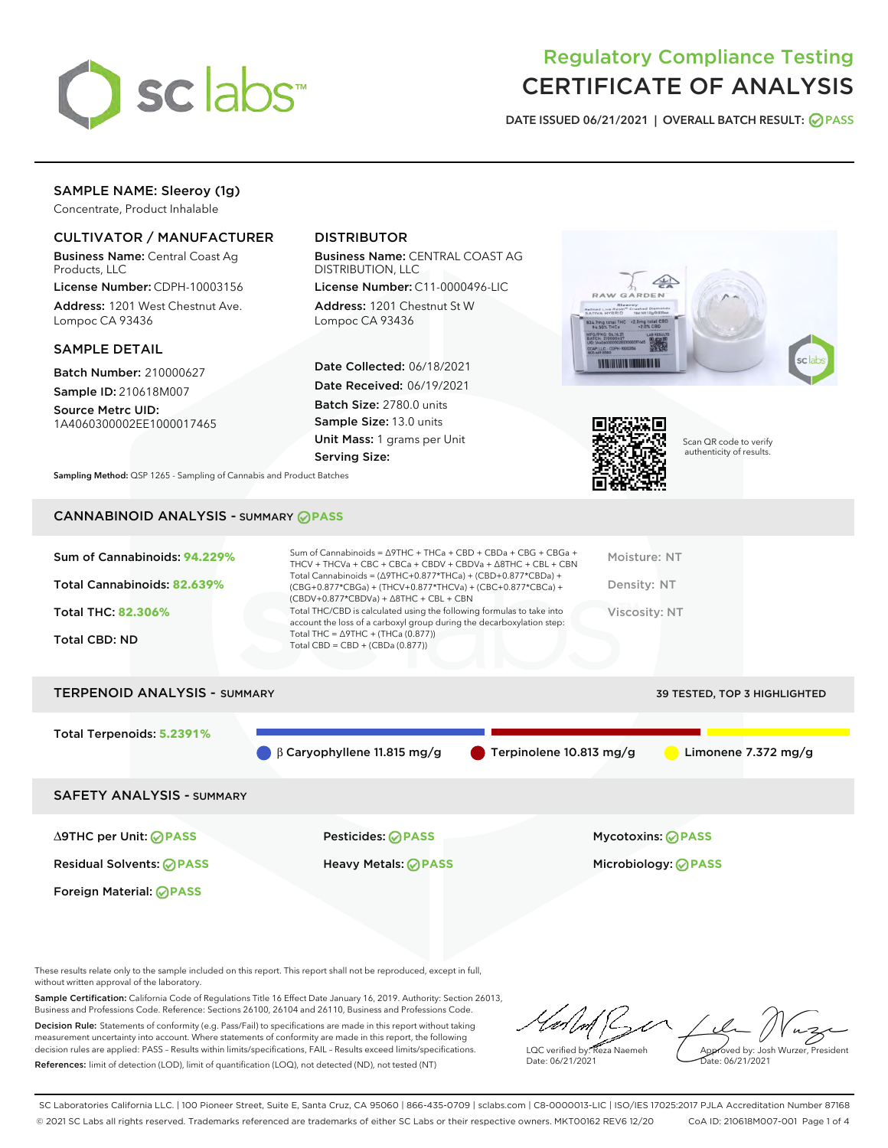

# Regulatory Compliance Testing CERTIFICATE OF ANALYSIS

DATE ISSUED 06/21/2021 | OVERALL BATCH RESULT: @ PASS

# SAMPLE NAME: Sleeroy (1g)

Concentrate, Product Inhalable

# CULTIVATOR / MANUFACTURER

Business Name: Central Coast Ag Products, LLC

License Number: CDPH-10003156 Address: 1201 West Chestnut Ave. Lompoc CA 93436

#### SAMPLE DETAIL

Batch Number: 210000627 Sample ID: 210618M007

Source Metrc UID: 1A4060300002EE1000017465

# DISTRIBUTOR

Business Name: CENTRAL COAST AG DISTRIBUTION, LLC

License Number: C11-0000496-LIC Address: 1201 Chestnut St W Lompoc CA 93436

Date Collected: 06/18/2021 Date Received: 06/19/2021 Batch Size: 2780.0 units Sample Size: 13.0 units Unit Mass: 1 grams per Unit Serving Size:





Scan QR code to verify authenticity of results.

Sampling Method: QSP 1265 - Sampling of Cannabis and Product Batches

# CANNABINOID ANALYSIS - SUMMARY **PASS**

| Total Cannabinoids: 82.639%<br>Density: NT<br>(CBG+0.877*CBGa) + (THCV+0.877*THCVa) + (CBC+0.877*CBCa) +<br>$(CBDV+0.877*CBDVa) + \Delta 8THC + CBL + CBN$<br>Total THC/CBD is calculated using the following formulas to take into<br>Total THC: 82.306%<br>Viscosity: NT<br>account the loss of a carboxyl group during the decarboxylation step:<br>Total THC = $\triangle$ 9THC + (THCa (0.877))<br>Total CBD: ND<br>Total CBD = $CBD + (CBDa (0.877))$ | Sum of Cannabinoids: 94.229% | Sum of Cannabinoids = $\triangle$ 9THC + THCa + CBD + CBDa + CBG + CBGa +<br>THCV + THCVa + CBC + CBCa + CBDV + CBDVa + $\triangle$ 8THC + CBL + CBN<br>Total Cannabinoids = $(\Delta 9THC + 0.877*THCa) + (CBD + 0.877*CBDa) +$ | Moisture: NT |
|-------------------------------------------------------------------------------------------------------------------------------------------------------------------------------------------------------------------------------------------------------------------------------------------------------------------------------------------------------------------------------------------------------------------------------------------------------------|------------------------------|----------------------------------------------------------------------------------------------------------------------------------------------------------------------------------------------------------------------------------|--------------|
|                                                                                                                                                                                                                                                                                                                                                                                                                                                             |                              |                                                                                                                                                                                                                                  |              |
|                                                                                                                                                                                                                                                                                                                                                                                                                                                             |                              |                                                                                                                                                                                                                                  |              |
|                                                                                                                                                                                                                                                                                                                                                                                                                                                             |                              |                                                                                                                                                                                                                                  |              |

# TERPENOID ANALYSIS - SUMMARY 39 TESTED, TOP 3 HIGHLIGHTED

Total Terpenoids: **5.2391%**

β Caryophyllene 11.815 mg/g Terpinolene 10.813 mg/g Limonene 7.372 mg/g

SAFETY ANALYSIS - SUMMARY

∆9THC per Unit: **PASS** Pesticides: **PASS** Mycotoxins: **PASS**

Foreign Material: **PASS**

Residual Solvents: **PASS** Heavy Metals: **PASS** Microbiology: **PASS**

These results relate only to the sample included on this report. This report shall not be reproduced, except in full, without written approval of the laboratory.

Sample Certification: California Code of Regulations Title 16 Effect Date January 16, 2019. Authority: Section 26013, Business and Professions Code. Reference: Sections 26100, 26104 and 26110, Business and Professions Code. Decision Rule: Statements of conformity (e.g. Pass/Fail) to specifications are made in this report without taking measurement uncertainty into account. Where statements of conformity are made in this report, the following decision rules are applied: PASS – Results within limits/specifications, FAIL – Results exceed limits/specifications.

References: limit of detection (LOD), limit of quantification (LOQ), not detected (ND), not tested (NT)

LQC verified by: Reza Naemeh Date: 06/21/2021 Approved by: Josh Wurzer, President Date: 06/21/2021

SC Laboratories California LLC. | 100 Pioneer Street, Suite E, Santa Cruz, CA 95060 | 866-435-0709 | sclabs.com | C8-0000013-LIC | ISO/IES 17025:2017 PJLA Accreditation Number 87168 © 2021 SC Labs all rights reserved. Trademarks referenced are trademarks of either SC Labs or their respective owners. MKT00162 REV6 12/20 CoA ID: 210618M007-001 Page 1 of 4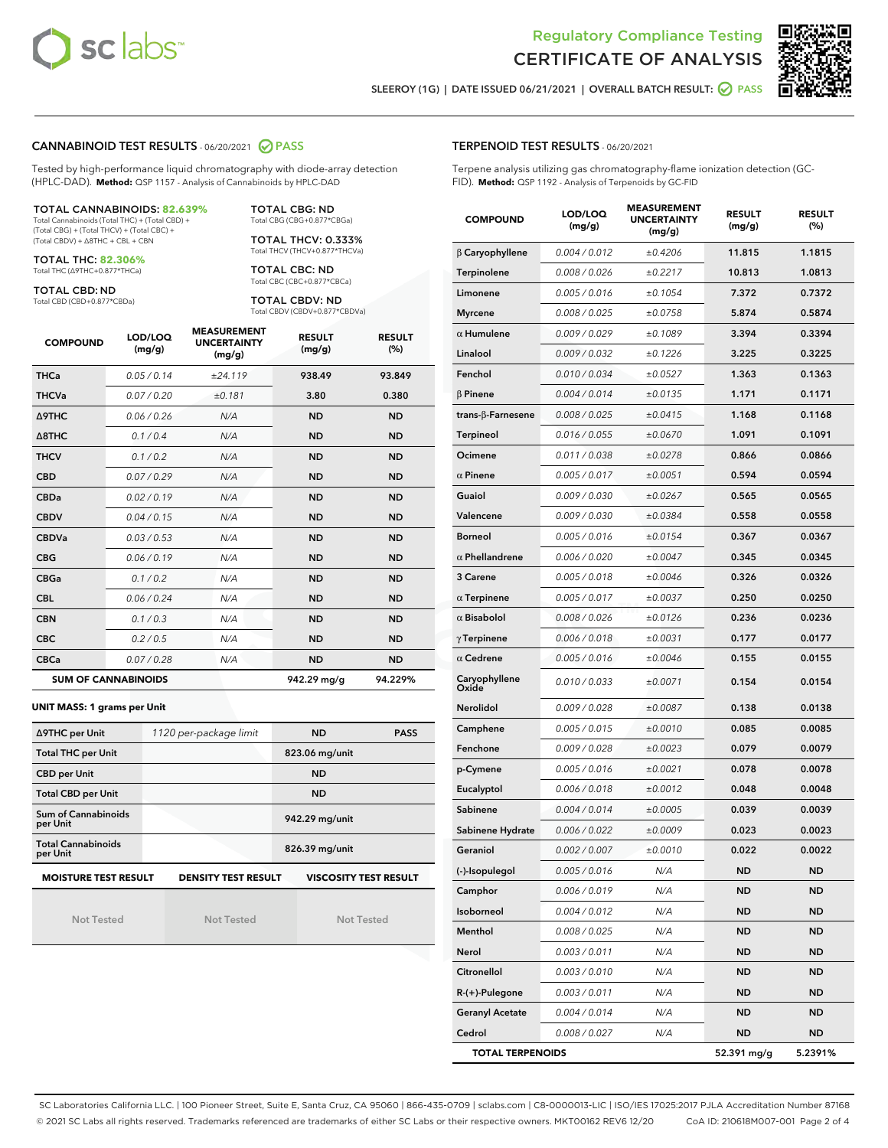



SLEEROY (1G) | DATE ISSUED 06/21/2021 | OVERALL BATCH RESULT: 0 PASS

### CANNABINOID TEST RESULTS - 06/20/2021 2 PASS

Tested by high-performance liquid chromatography with diode-array detection (HPLC-DAD). **Method:** QSP 1157 - Analysis of Cannabinoids by HPLC-DAD

#### TOTAL CANNABINOIDS: **82.639%**

Total Cannabinoids (Total THC) + (Total CBD) + (Total CBG) + (Total THCV) + (Total CBC) + (Total CBDV) + ∆8THC + CBL + CBN

TOTAL THC: **82.306%** Total THC (∆9THC+0.877\*THCa)

TOTAL CBD: ND

Total CBD (CBD+0.877\*CBDa)

TOTAL CBG: ND Total CBG (CBG+0.877\*CBGa)

TOTAL THCV: 0.333% Total THCV (THCV+0.877\*THCVa)

TOTAL CBC: ND Total CBC (CBC+0.877\*CBCa)

TOTAL CBDV: ND Total CBDV (CBDV+0.877\*CBDVa)

| <b>COMPOUND</b>            | LOD/LOQ<br>(mg/g) | <b>MEASUREMENT</b><br><b>UNCERTAINTY</b><br>(mg/g) | <b>RESULT</b><br>(mg/g) | <b>RESULT</b><br>(%) |
|----------------------------|-------------------|----------------------------------------------------|-------------------------|----------------------|
| <b>THCa</b>                | 0.05/0.14         | ±24.119                                            | 938.49                  | 93.849               |
| <b>THCVa</b>               | 0.07/0.20         | ±0.181                                             | 3.80                    | 0.380                |
| Δ9THC                      | 0.06 / 0.26       | N/A                                                | <b>ND</b>               | <b>ND</b>            |
| $\triangle$ 8THC           | 0.1/0.4           | N/A                                                | <b>ND</b>               | <b>ND</b>            |
| <b>THCV</b>                | 0.1/0.2           | N/A                                                | <b>ND</b>               | <b>ND</b>            |
| <b>CBD</b>                 | 0.07/0.29         | N/A                                                | <b>ND</b>               | <b>ND</b>            |
| <b>CBDa</b>                | 0.02 / 0.19       | N/A                                                | <b>ND</b>               | <b>ND</b>            |
| <b>CBDV</b>                | 0.04/0.15         | N/A                                                | <b>ND</b>               | <b>ND</b>            |
| <b>CBDVa</b>               | 0.03/0.53         | N/A                                                | <b>ND</b>               | <b>ND</b>            |
| <b>CBG</b>                 | 0.06/0.19         | N/A                                                | <b>ND</b>               | <b>ND</b>            |
| <b>CBGa</b>                | 0.1/0.2           | N/A                                                | <b>ND</b>               | <b>ND</b>            |
| <b>CBL</b>                 | 0.06/0.24         | N/A                                                | <b>ND</b>               | <b>ND</b>            |
| <b>CBN</b>                 | 0.1 / 0.3         | N/A                                                | <b>ND</b>               | <b>ND</b>            |
| <b>CBC</b>                 | 0.2 / 0.5         | N/A                                                | <b>ND</b>               | <b>ND</b>            |
| <b>CBCa</b>                | 0.07/0.28         | N/A                                                | <b>ND</b>               | <b>ND</b>            |
| <b>SUM OF CANNABINOIDS</b> |                   |                                                    | 942.29 mg/g             | 94.229%              |

#### **UNIT MASS: 1 grams per Unit**

| ∆9THC per Unit                        | 1120 per-package limit                                                                    | <b>ND</b><br><b>PASS</b> |  |  |  |  |
|---------------------------------------|-------------------------------------------------------------------------------------------|--------------------------|--|--|--|--|
| <b>Total THC per Unit</b>             |                                                                                           | 823.06 mg/unit           |  |  |  |  |
| <b>CBD per Unit</b>                   |                                                                                           | <b>ND</b>                |  |  |  |  |
| <b>Total CBD per Unit</b>             |                                                                                           | <b>ND</b>                |  |  |  |  |
| Sum of Cannabinoids<br>per Unit       |                                                                                           | 942.29 mg/unit           |  |  |  |  |
| <b>Total Cannabinoids</b><br>per Unit |                                                                                           | 826.39 mg/unit           |  |  |  |  |
|                                       | <b>MOISTURE TEST RESULT</b><br><b>VISCOSITY TEST RESULT</b><br><b>DENSITY TEST RESULT</b> |                          |  |  |  |  |

Not Tested

Not Tested

Not Tested

#### TERPENOID TEST RESULTS - 06/20/2021

Terpene analysis utilizing gas chromatography-flame ionization detection (GC-FID). **Method:** QSP 1192 - Analysis of Terpenoids by GC-FID

| <b>COMPOUND</b>           | LOD/LOQ<br>(mg/g) | <b>MEASUREMENT</b><br><b>UNCERTAINTY</b><br>(mg/g) | <b>RESULT</b><br>(mg/g) | <b>RESULT</b><br>(%) |
|---------------------------|-------------------|----------------------------------------------------|-------------------------|----------------------|
| β Caryophyllene           | 0.004 / 0.012     | ±0.4206                                            | 11.815                  | 1.1815               |
| Terpinolene               | 0.008 / 0.026     | ±0.2217                                            | 10.813                  | 1.0813               |
| Limonene                  | 0.005 / 0.016     | ±0.1054                                            | 7.372                   | 0.7372               |
| <b>Myrcene</b>            | 0.008 / 0.025     | ±0.0758                                            | 5.874                   | 0.5874               |
| $\alpha$ Humulene         | 0.009 / 0.029     | ±0.1089                                            | 3.394                   | 0.3394               |
| Linalool                  | 0.009 / 0.032     | ±0.1226                                            | 3.225                   | 0.3225               |
| Fenchol                   | 0.010 / 0.034     | ±0.0527                                            | 1.363                   | 0.1363               |
| $\beta$ Pinene            | 0.004 / 0.014     | ±0.0135                                            | 1.171                   | 0.1171               |
| trans- $\beta$ -Farnesene | 0.008 / 0.025     | ±0.0415                                            | 1.168                   | 0.1168               |
| Terpineol                 | 0.016 / 0.055     | ±0.0670                                            | 1.091                   | 0.1091               |
| Ocimene                   | 0.011/0.038       | ±0.0278                                            | 0.866                   | 0.0866               |
| $\alpha$ Pinene           | 0.005 / 0.017     | ±0.0051                                            | 0.594                   | 0.0594               |
| Guaiol                    | 0.009 / 0.030     | ±0.0267                                            | 0.565                   | 0.0565               |
| Valencene                 | 0.009 / 0.030     | ±0.0384                                            | 0.558                   | 0.0558               |
| <b>Borneol</b>            | 0.005 / 0.016     | ±0.0154                                            | 0.367                   | 0.0367               |
| $\alpha$ Phellandrene     | 0.006 / 0.020     | ±0.0047                                            | 0.345                   | 0.0345               |
| 3 Carene                  | 0.005 / 0.018     | ±0.0046                                            | 0.326                   | 0.0326               |
| $\alpha$ Terpinene        | 0.005 / 0.017     | ±0.0037                                            | 0.250                   | 0.0250               |
| $\alpha$ Bisabolol        | 0.008 / 0.026     | ±0.0126                                            | 0.236                   | 0.0236               |
| $\gamma$ Terpinene        | 0.006 / 0.018     | ±0.0031                                            | 0.177                   | 0.0177               |
| $\alpha$ Cedrene          | 0.005 / 0.016     | ±0.0046                                            | 0.155                   | 0.0155               |
| Caryophyllene<br>Oxide    | 0.010 / 0.033     | ±0.0071                                            | 0.154                   | 0.0154               |
| <b>Nerolidol</b>          | 0.009 / 0.028     | ±0.0087                                            | 0.138                   | 0.0138               |
| Camphene                  | 0.005 / 0.015     | ±0.0010                                            | 0.085                   | 0.0085               |
| Fenchone                  | 0.009 / 0.028     | ±0.0023                                            | 0.079                   | 0.0079               |
| p-Cymene                  | 0.005 / 0.016     | ±0.0021                                            | 0.078                   | 0.0078               |
| Eucalyptol                | 0.006 / 0.018     | ±0.0012                                            | 0.048                   | 0.0048               |
| Sabinene                  | 0.004 / 0.014     | ±0.0005                                            | 0.039                   | 0.0039               |
| Sabinene Hydrate          | 0.006 / 0.022     | ±0.0009                                            | 0.023                   | 0.0023               |
| Geraniol                  | 0.002 / 0.007     | ±0.0010                                            | 0.022                   | 0.0022               |
| (-)-Isopulegol            | 0.005 / 0.016     | N/A                                                | ND                      | ND                   |
| Camphor                   | 0.006 / 0.019     | N/A                                                | ND                      | ND                   |
| Isoborneol                | 0.004 / 0.012     | N/A                                                | <b>ND</b>               | ND                   |
| Menthol                   | 0.008 / 0.025     | N/A                                                | <b>ND</b>               | ND                   |
| Nerol                     | 0.003 / 0.011     | N/A                                                | <b>ND</b>               | ND                   |
| Citronellol               | 0.003 / 0.010     | N/A                                                | ND                      | ND                   |
| R-(+)-Pulegone            | 0.003 / 0.011     | N/A                                                | <b>ND</b>               | ND                   |
| <b>Geranyl Acetate</b>    | 0.004 / 0.014     | N/A                                                | ND                      | ND                   |
| Cedrol                    | 0.008 / 0.027     | N/A                                                | <b>ND</b>               | ND                   |
| <b>TOTAL TERPENOIDS</b>   |                   |                                                    | 52.391 mg/g             | 5.2391%              |

SC Laboratories California LLC. | 100 Pioneer Street, Suite E, Santa Cruz, CA 95060 | 866-435-0709 | sclabs.com | C8-0000013-LIC | ISO/IES 17025:2017 PJLA Accreditation Number 87168 © 2021 SC Labs all rights reserved. Trademarks referenced are trademarks of either SC Labs or their respective owners. MKT00162 REV6 12/20 CoA ID: 210618M007-001 Page 2 of 4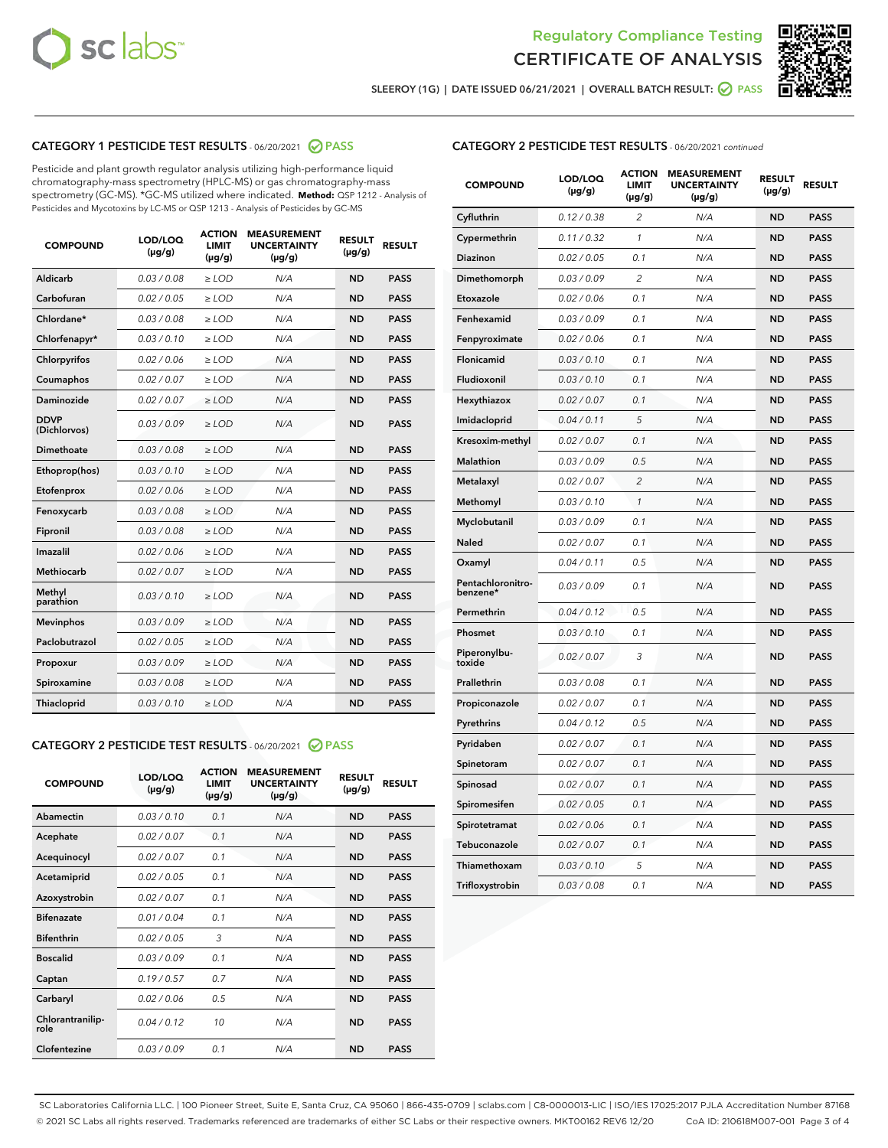



SLEEROY (1G) | DATE ISSUED 06/21/2021 | OVERALL BATCH RESULT: O PASS

# CATEGORY 1 PESTICIDE TEST RESULTS - 06/20/2021 2 PASS

Pesticide and plant growth regulator analysis utilizing high-performance liquid chromatography-mass spectrometry (HPLC-MS) or gas chromatography-mass spectrometry (GC-MS). \*GC-MS utilized where indicated. **Method:** QSP 1212 - Analysis of Pesticides and Mycotoxins by LC-MS or QSP 1213 - Analysis of Pesticides by GC-MS

| <b>COMPOUND</b>             | LOD/LOQ<br>$(\mu g/g)$ | <b>ACTION</b><br><b>LIMIT</b><br>$(\mu g/g)$ | <b>MEASUREMENT</b><br><b>UNCERTAINTY</b><br>$(\mu g/g)$ | <b>RESULT</b><br>$(\mu g/g)$ | <b>RESULT</b> |
|-----------------------------|------------------------|----------------------------------------------|---------------------------------------------------------|------------------------------|---------------|
| Aldicarb                    | 0.03 / 0.08            | $\ge$ LOD                                    | N/A                                                     | <b>ND</b>                    | <b>PASS</b>   |
| Carbofuran                  | 0.02 / 0.05            | $\ge$ LOD                                    | N/A                                                     | <b>ND</b>                    | <b>PASS</b>   |
| Chlordane*                  | 0.03 / 0.08            | $\ge$ LOD                                    | N/A                                                     | <b>ND</b>                    | <b>PASS</b>   |
| Chlorfenapyr*               | 0.03/0.10              | $\ge$ LOD                                    | N/A                                                     | <b>ND</b>                    | <b>PASS</b>   |
| Chlorpyrifos                | 0.02 / 0.06            | $\ge$ LOD                                    | N/A                                                     | <b>ND</b>                    | <b>PASS</b>   |
| Coumaphos                   | 0.02 / 0.07            | $\ge$ LOD                                    | N/A                                                     | <b>ND</b>                    | <b>PASS</b>   |
| Daminozide                  | 0.02 / 0.07            | $\ge$ LOD                                    | N/A                                                     | <b>ND</b>                    | <b>PASS</b>   |
| <b>DDVP</b><br>(Dichlorvos) | 0.03/0.09              | $\ge$ LOD                                    | N/A                                                     | <b>ND</b>                    | <b>PASS</b>   |
| Dimethoate                  | 0.03/0.08              | $\ge$ LOD                                    | N/A                                                     | <b>ND</b>                    | <b>PASS</b>   |
| Ethoprop(hos)               | 0.03/0.10              | $\ge$ LOD                                    | N/A                                                     | <b>ND</b>                    | <b>PASS</b>   |
| Etofenprox                  | 0.02/0.06              | $>$ LOD                                      | N/A                                                     | <b>ND</b>                    | <b>PASS</b>   |
| Fenoxycarb                  | 0.03/0.08              | $>$ LOD                                      | N/A                                                     | <b>ND</b>                    | <b>PASS</b>   |
| Fipronil                    | 0.03/0.08              | $>$ LOD                                      | N/A                                                     | <b>ND</b>                    | <b>PASS</b>   |
| Imazalil                    | 0.02 / 0.06            | $\ge$ LOD                                    | N/A                                                     | <b>ND</b>                    | <b>PASS</b>   |
| <b>Methiocarb</b>           | 0.02 / 0.07            | $\ge$ LOD                                    | N/A                                                     | <b>ND</b>                    | <b>PASS</b>   |
| Methyl<br>parathion         | 0.03/0.10              | $\ge$ LOD                                    | N/A                                                     | <b>ND</b>                    | <b>PASS</b>   |
| <b>Mevinphos</b>            | 0.03/0.09              | $\ge$ LOD                                    | N/A                                                     | <b>ND</b>                    | <b>PASS</b>   |
| Paclobutrazol               | 0.02 / 0.05            | $\ge$ LOD                                    | N/A                                                     | <b>ND</b>                    | <b>PASS</b>   |
| Propoxur                    | 0.03/0.09              | $\ge$ LOD                                    | N/A                                                     | <b>ND</b>                    | <b>PASS</b>   |
| Spiroxamine                 | 0.03 / 0.08            | $\ge$ LOD                                    | N/A                                                     | <b>ND</b>                    | <b>PASS</b>   |
| Thiacloprid                 | 0.03/0.10              | $\ge$ LOD                                    | N/A                                                     | <b>ND</b>                    | <b>PASS</b>   |

#### CATEGORY 2 PESTICIDE TEST RESULTS - 06/20/2021 @ PASS

| <b>COMPOUND</b>          | LOD/LOQ<br>$(\mu g/g)$ | <b>ACTION</b><br><b>LIMIT</b><br>$(\mu g/g)$ | <b>MEASUREMENT</b><br><b>UNCERTAINTY</b><br>$(\mu g/g)$ | <b>RESULT</b><br>$(\mu g/g)$ | <b>RESULT</b> |
|--------------------------|------------------------|----------------------------------------------|---------------------------------------------------------|------------------------------|---------------|
| Abamectin                | 0.03/0.10              | 0.1                                          | N/A                                                     | <b>ND</b>                    | <b>PASS</b>   |
| Acephate                 | 0.02/0.07              | 0.1                                          | N/A                                                     | <b>ND</b>                    | <b>PASS</b>   |
| Acequinocyl              | 0.02/0.07              | 0.1                                          | N/A                                                     | <b>ND</b>                    | <b>PASS</b>   |
| Acetamiprid              | 0.02/0.05              | 0.1                                          | N/A                                                     | <b>ND</b>                    | <b>PASS</b>   |
| Azoxystrobin             | 0.02/0.07              | 0.1                                          | N/A                                                     | <b>ND</b>                    | <b>PASS</b>   |
| <b>Bifenazate</b>        | 0.01/0.04              | 0.1                                          | N/A                                                     | <b>ND</b>                    | <b>PASS</b>   |
| <b>Bifenthrin</b>        | 0.02 / 0.05            | 3                                            | N/A                                                     | <b>ND</b>                    | <b>PASS</b>   |
| <b>Boscalid</b>          | 0.03/0.09              | 0.1                                          | N/A                                                     | <b>ND</b>                    | <b>PASS</b>   |
| Captan                   | 0.19/0.57              | 0.7                                          | N/A                                                     | <b>ND</b>                    | <b>PASS</b>   |
| Carbaryl                 | 0.02/0.06              | 0.5                                          | N/A                                                     | <b>ND</b>                    | <b>PASS</b>   |
| Chlorantranilip-<br>role | 0.04/0.12              | 10                                           | N/A                                                     | <b>ND</b>                    | <b>PASS</b>   |
| Clofentezine             | 0.03/0.09              | 0.1                                          | N/A                                                     | <b>ND</b>                    | <b>PASS</b>   |

| <b>CATEGORY 2 PESTICIDE TEST RESULTS</b> - 06/20/2021 continued |
|-----------------------------------------------------------------|
|-----------------------------------------------------------------|

| <b>COMPOUND</b>               | LOD/LOQ<br>$(\mu g/g)$ | <b>ACTION</b><br>LIMIT<br>(µg/g) | <b>MEASUREMENT</b><br><b>UNCERTAINTY</b><br>(µg/g) | <b>RESULT</b><br>$(\mu g/g)$ | <b>RESULT</b> |
|-------------------------------|------------------------|----------------------------------|----------------------------------------------------|------------------------------|---------------|
| Cyfluthrin                    | 0.12 / 0.38            | $\overline{c}$                   | N/A                                                | ND                           | <b>PASS</b>   |
| Cypermethrin                  | 0.11 / 0.32            | 1                                | N/A                                                | <b>ND</b>                    | <b>PASS</b>   |
| Diazinon                      | 0.02 / 0.05            | 0.1                              | N/A                                                | <b>ND</b>                    | <b>PASS</b>   |
| Dimethomorph                  | 0.03 / 0.09            | 2                                | N/A                                                | <b>ND</b>                    | <b>PASS</b>   |
| Etoxazole                     | 0.02 / 0.06            | 0.1                              | N/A                                                | <b>ND</b>                    | <b>PASS</b>   |
| Fenhexamid                    | 0.03 / 0.09            | 0.1                              | N/A                                                | <b>ND</b>                    | <b>PASS</b>   |
| Fenpyroximate                 | 0.02 / 0.06            | 0.1                              | N/A                                                | <b>ND</b>                    | <b>PASS</b>   |
| Flonicamid                    | 0.03 / 0.10            | 0.1                              | N/A                                                | <b>ND</b>                    | <b>PASS</b>   |
| Fludioxonil                   | 0.03/0.10              | 0.1                              | N/A                                                | <b>ND</b>                    | <b>PASS</b>   |
| Hexythiazox                   | 0.02 / 0.07            | 0.1                              | N/A                                                | <b>ND</b>                    | <b>PASS</b>   |
| Imidacloprid                  | 0.04 / 0.11            | 5                                | N/A                                                | <b>ND</b>                    | <b>PASS</b>   |
| Kresoxim-methyl               | 0.02 / 0.07            | 0.1                              | N/A                                                | <b>ND</b>                    | <b>PASS</b>   |
| <b>Malathion</b>              | 0.03 / 0.09            | 0.5                              | N/A                                                | <b>ND</b>                    | <b>PASS</b>   |
| Metalaxyl                     | 0.02 / 0.07            | $\overline{c}$                   | N/A                                                | <b>ND</b>                    | <b>PASS</b>   |
| Methomyl                      | 0.03 / 0.10            | $\mathcal{I}$                    | N/A                                                | <b>ND</b>                    | <b>PASS</b>   |
| Myclobutanil                  | 0.03 / 0.09            | 0.1                              | N/A                                                | <b>ND</b>                    | <b>PASS</b>   |
| Naled                         | 0.02 / 0.07            | 0.1                              | N/A                                                | <b>ND</b>                    | <b>PASS</b>   |
| Oxamyl                        | 0.04 / 0.11            | 0.5                              | N/A                                                | <b>ND</b>                    | <b>PASS</b>   |
| Pentachloronitro-<br>benzene* | 0.03/0.09              | 0.1                              | N/A                                                | <b>ND</b>                    | <b>PASS</b>   |
| Permethrin                    | 0.04 / 0.12            | 0.5                              | N/A                                                | <b>ND</b>                    | <b>PASS</b>   |
| Phosmet                       | 0.03 / 0.10            | 0.1                              | N/A                                                | <b>ND</b>                    | <b>PASS</b>   |
| Piperonylbu-<br>toxide        | 0.02 / 0.07            | 3                                | N/A                                                | <b>ND</b>                    | <b>PASS</b>   |
| Prallethrin                   | 0.03 / 0.08            | 0.1                              | N/A                                                | <b>ND</b>                    | <b>PASS</b>   |
| Propiconazole                 | 0.02 / 0.07            | 0.1                              | N/A                                                | <b>ND</b>                    | <b>PASS</b>   |
| Pyrethrins                    | 0.04 / 0.12            | 0.5                              | N/A                                                | <b>ND</b>                    | <b>PASS</b>   |
| Pyridaben                     | 0.02 / 0.07            | 0.1                              | N/A                                                | <b>ND</b>                    | <b>PASS</b>   |
| Spinetoram                    | 0.02 / 0.07            | 0.1                              | N/A                                                | ND                           | <b>PASS</b>   |
| Spinosad                      | 0.02 / 0.07            | 0.1                              | N/A                                                | <b>ND</b>                    | <b>PASS</b>   |
| Spiromesifen                  | 0.02 / 0.05            | 0.1                              | N/A                                                | <b>ND</b>                    | <b>PASS</b>   |
| Spirotetramat                 | 0.02 / 0.06            | 0.1                              | N/A                                                | <b>ND</b>                    | <b>PASS</b>   |
| Tebuconazole                  | 0.02 / 0.07            | 0.1                              | N/A                                                | ND                           | <b>PASS</b>   |
| Thiamethoxam                  | 0.03 / 0.10            | 5                                | N/A                                                | <b>ND</b>                    | <b>PASS</b>   |
| Trifloxystrobin               | 0.03 / 0.08            | 0.1                              | N/A                                                | <b>ND</b>                    | <b>PASS</b>   |

SC Laboratories California LLC. | 100 Pioneer Street, Suite E, Santa Cruz, CA 95060 | 866-435-0709 | sclabs.com | C8-0000013-LIC | ISO/IES 17025:2017 PJLA Accreditation Number 87168 © 2021 SC Labs all rights reserved. Trademarks referenced are trademarks of either SC Labs or their respective owners. MKT00162 REV6 12/20 CoA ID: 210618M007-001 Page 3 of 4